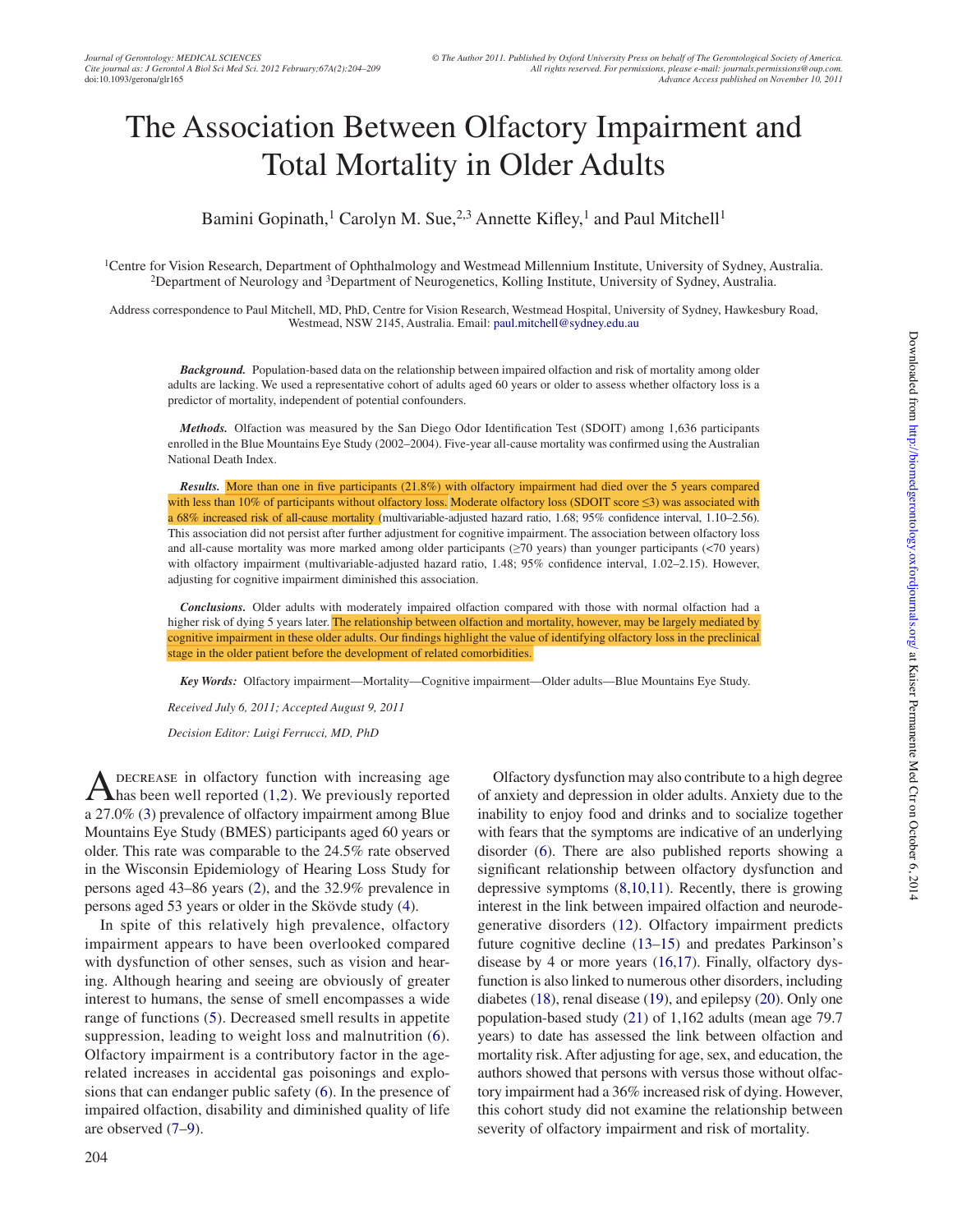# The Association Between Olfactory Impairment and Total Mortality in Older Adults

# Bamini Gopinath,<sup>1</sup> Carolyn M. Sue,<sup>2,3</sup> Annette Kifley,<sup>1</sup> and Paul Mitchell<sup>1</sup>

<sup>1</sup>Centre for Vision Research, Department of Ophthalmology and Westmead Millennium Institute, University of Sydney, Australia.<br><sup>2</sup>Department of Neurology and <sup>3</sup>Department of Neurogenetics, Kolling Institute, University of

Address correspondence to Paul Mitchell, MD, PhD, Centre for Vision Research, Westmead Hospital, University of Sydney, Hawkesbury Road, Westmead, NSW 2145, Australia. Email: paul.mitchell@sydney.edu.au

*Background.* Population-based data on the relationship between impaired olfaction and risk of mortality among older adults are lacking. We used a representative cohort of adults aged 60 years or older to assess whether olfactory loss is a predictor of mortality, independent of potential confounders.

*Methods.* Olfaction was measured by the San Diego Odor Identification Test (SDOIT) among 1,636 participants enrolled in the Blue Mountains Eye Study (2002–2004). Five-year all-cause mortality was confirmed using the Australian National Death Index.

*Results.* More than one in five participants (21.8%) with olfactory impairment had died over the 5 years compared with less than 10% of participants without olfactory loss. Moderate olfactory loss (SDOIT score ≤3) was associated with a 68% increased risk of all-cause mortality (multivariable-adjusted hazard ratio, 1.68; 95% confidence interval, 1.10–2.56). This association did not persist after further adjustment for cognitive impairment. The association between olfactory loss and all-cause mortality was more marked among older participants (≥70 years) than younger participants (<70 years) with olfactory impairment (multivariable-adjusted hazard ratio, 1.48; 95% confidence interval, 1.02–2.15). However, adjusting for cognitive impairment diminished this association.

*Conclusions.* Older adults with moderately impaired olfaction compared with those with normal olfaction had a higher risk of dying 5 years later. The relationship between olfaction and mortality, however, may be largely mediated by cognitive impairment in these older adults. Our findings highlight the value of identifying olfactory loss in the preclinical stage in the older patient before the development of related comorbidities.

*Key Words:* Olfactory impairment—Mortality—Cognitive impairment—Older adults—Blue Mountains Eye Study.

*Received July 6, 2011; Accepted August 9, 2011*

*Decision Editor: Luigi Ferrucci, MD, PhD*

A DECREASE in olfactory function with increasing age has been well reported (1,2). We previously reported a 27.0% (3) prevalence of olfactory impairment among Blue Mountains Eye Study (BMES) participants aged 60 years or older. This rate was comparable to the 24.5% rate observed in the Wisconsin Epidemiology of Hearing Loss Study for persons aged 43–86 years (2), and the 32.9% prevalence in persons aged 53 years or older in the Skövde study (4).

In spite of this relatively high prevalence, olfactory impairment appears to have been overlooked compared with dysfunction of other senses, such as vision and hearing. Although hearing and seeing are obviously of greater interest to humans, the sense of smell encompasses a wide range of functions (5). Decreased smell results in appetite suppression, leading to weight loss and malnutrition (6). Olfactory impairment is a contributory factor in the agerelated increases in accidental gas poisonings and explosions that can endanger public safety (6). In the presence of impaired olfaction, disability and diminished quality of life are observed (7–9).

Olfactory dysfunction may also contribute to a high degree of anxiety and depression in older adults. Anxiety due to the inability to enjoy food and drinks and to socialize together with fears that the symptoms are indicative of an underlying disorder (6). There are also published reports showing a significant relationship between olfactory dysfunction and depressive symptoms (8,10,11). Recently, there is growing interest in the link between impaired olfaction and neurodegenerative disorders (12). Olfactory impairment predicts future cognitive decline (13–15) and predates Parkinson's disease by 4 or more years (16,17). Finally, olfactory dysfunction is also linked to numerous other disorders, including diabetes (18), renal disease (19), and epilepsy (20). Only one population-based study (21) of 1,162 adults (mean age 79.7 years) to date has assessed the link between olfaction and mortality risk. After adjusting for age, sex, and education, the authors showed that persons with versus those without olfactory impairment had a 36% increased risk of dying. However, this cohort study did not examine the relationship between severity of olfactory impairment and risk of mortality.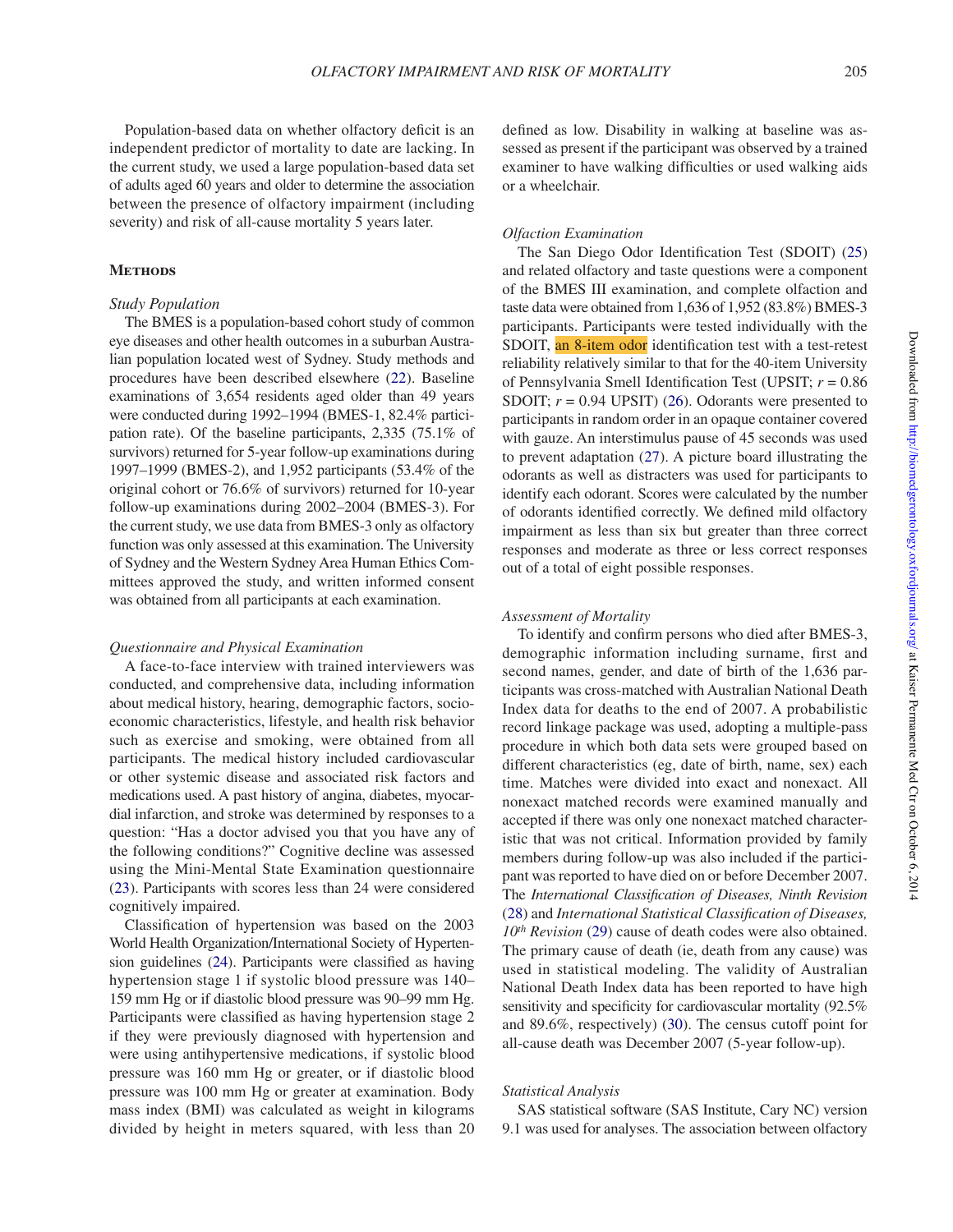Population-based data on whether olfactory deficit is an independent predictor of mortality to date are lacking. In the current study, we used a large population-based data set of adults aged 60 years and older to determine the association between the presence of olfactory impairment (including severity) and risk of all-cause mortality 5 years later.

#### **METHODS**

### *Study Population*

The BMES is a population-based cohort study of common eye diseases and other health outcomes in a suburban Australian population located west of Sydney. Study methods and procedures have been described elsewhere (22). Baseline examinations of 3,654 residents aged older than 49 years were conducted during 1992–1994 (BMES-1, 82.4% participation rate). Of the baseline participants, 2,335 (75.1% of survivors) returned for 5-year follow-up examinations during 1997–1999 (BMES-2), and 1,952 participants (53.4% of the original cohort or 76.6% of survivors) returned for 10-year follow-up examinations during 2002–2004 (BMES-3). For the current study, we use data from BMES-3 only as olfactory function was only assessed at this examination. The University of Sydney and the Western Sydney Area Human Ethics Committees approved the study, and written informed consent was obtained from all participants at each examination.

#### *Questionnaire and Physical Examination*

A face-to-face interview with trained interviewers was conducted, and comprehensive data, including information about medical history, hearing, demographic factors, socioeconomic characteristics, lifestyle, and health risk behavior such as exercise and smoking, were obtained from all participants. The medical history included cardiovascular or other systemic disease and associated risk factors and medications used. A past history of angina, diabetes, myocardial infarction, and stroke was determined by responses to a question: "Has a doctor advised you that you have any of the following conditions?" Cognitive decline was assessed using the Mini-Mental State Examination questionnaire (23). Participants with scores less than 24 were considered cognitively impaired.

Classification of hypertension was based on the 2003 World Health Organization/International Society of Hypertension guidelines (24). Participants were classified as having hypertension stage 1 if systolic blood pressure was 140– 159 mm Hg or if diastolic blood pressure was 90–99 mm Hg. Participants were classified as having hypertension stage 2 if they were previously diagnosed with hypertension and were using antihypertensive medications, if systolic blood pressure was 160 mm Hg or greater, or if diastolic blood pressure was 100 mm Hg or greater at examination. Body mass index (BMI) was calculated as weight in kilograms divided by height in meters squared, with less than 20 defined as low. Disability in walking at baseline was assessed as present if the participant was observed by a trained examiner to have walking difficulties or used walking aids or a wheelchair.

### *Olfaction Examination*

The San Diego Odor Identification Test (SDOIT) (25) and related olfactory and taste questions were a component of the BMES III examination, and complete olfaction and taste data were obtained from 1,636 of 1,952 (83.8%) BMES-3 participants. Participants were tested individually with the SDOIT, an 8-item odor identification test with a test-retest reliability relatively similar to that for the 40-item University of Pennsylvania Smell Identification Test (UPSIT; *r* = 0.86 SDOIT; *r* = 0.94 UPSIT) (26). Odorants were presented to participants in random order in an opaque container covered with gauze. An interstimulus pause of 45 seconds was used to prevent adaptation (27). A picture board illustrating the odorants as well as distracters was used for participants to identify each odorant. Scores were calculated by the number of odorants identified correctly. We defined mild olfactory impairment as less than six but greater than three correct responses and moderate as three or less correct responses out of a total of eight possible responses.

#### *Assessment of Mortality*

To identify and confirm persons who died after BMES-3, demographic information including surname, first and second names, gender, and date of birth of the 1,636 participants was cross-matched with Australian National Death Index data for deaths to the end of 2007. A probabilistic record linkage package was used, adopting a multiple-pass procedure in which both data sets were grouped based on different characteristics (eg, date of birth, name, sex) each time. Matches were divided into exact and nonexact. All nonexact matched records were examined manually and accepted if there was only one nonexact matched characteristic that was not critical. Information provided by family members during follow-up was also included if the participant was reported to have died on or before December 2007. The *International Classification of Diseases, Ninth Revision* (28) and *International Statistical Classification of Diseases, 10th Revision* (29) cause of death codes were also obtained. The primary cause of death (ie, death from any cause) was used in statistical modeling. The validity of Australian National Death Index data has been reported to have high sensitivity and specificity for cardiovascular mortality (92.5% and 89.6%, respectively) (30). The census cutoff point for all-cause death was December 2007 (5-year follow-up).

#### *Statistical Analysis*

SAS statistical software (SAS Institute, Cary NC) version 9.1 was used for analyses. The association between olfactory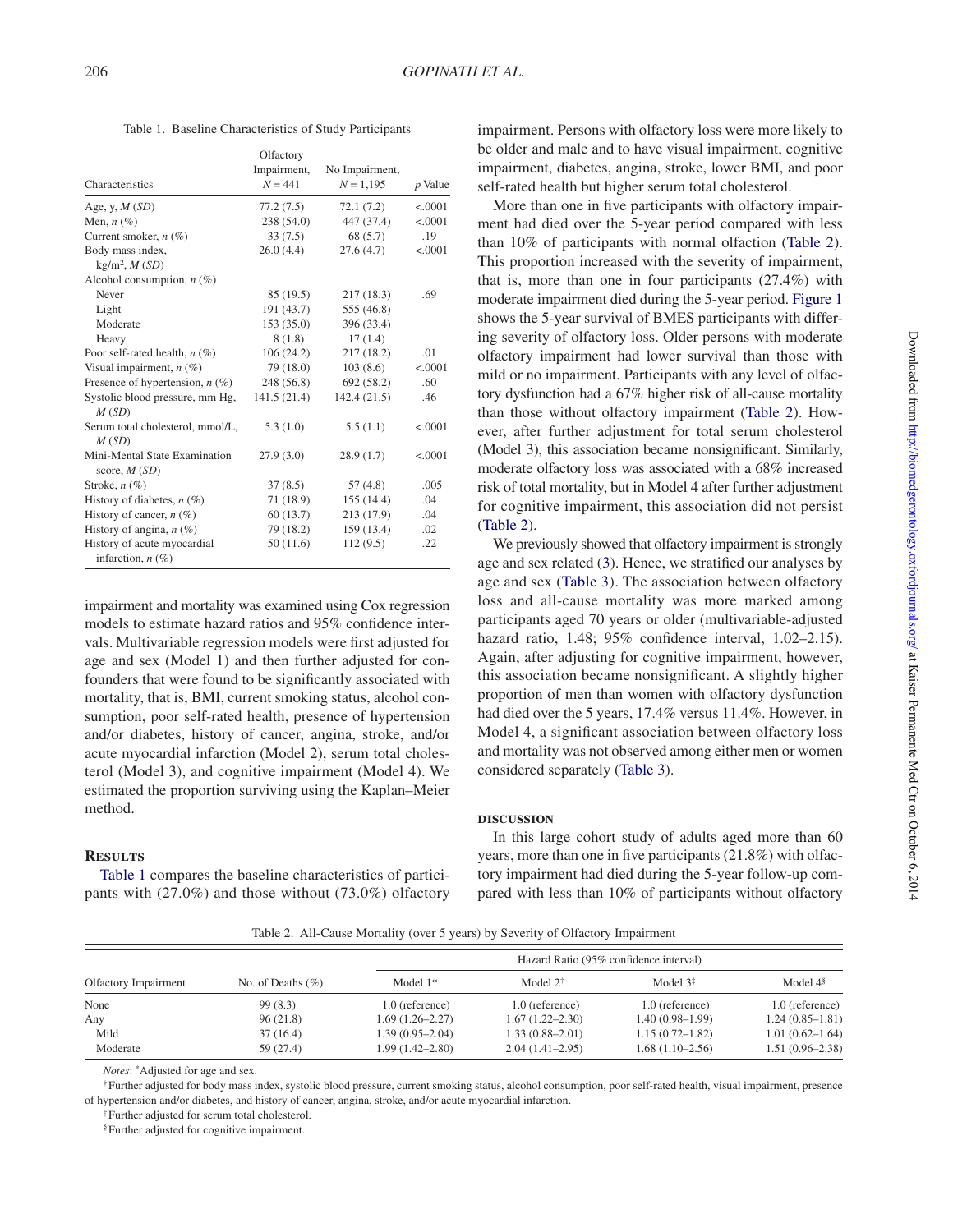Table 1. Baseline Characteristics of Study Participants

|                                                 | Olfactory                |                               |           |  |
|-------------------------------------------------|--------------------------|-------------------------------|-----------|--|
| Characteristics                                 | Impairment,<br>$N = 441$ | No Impairment,<br>$N = 1,195$ | $p$ Value |  |
|                                                 | 77.2(7.5)                | 72.1(7.2)                     | < .0001   |  |
| Age, y, $M(SD)$                                 |                          | 447 (37.4)                    | < .0001   |  |
| Men, $n$ $(\%)$                                 | 238 (54.0)               |                               |           |  |
| Current smoker, $n$ (%)                         | 33(7.5)                  | 68 (5.7)                      | .19       |  |
| Body mass index,                                | 26.0(4.4)                | 27.6(4.7)                     | < .0001   |  |
| kg/m <sup>2</sup> , M(SD)                       |                          |                               |           |  |
| Alcohol consumption, $n$ (%)                    |                          |                               |           |  |
| Never                                           | 85 (19.5)                | 217(18.3)                     | .69       |  |
| Light                                           | 191 (43.7)               | 555 (46.8)                    |           |  |
| Moderate                                        | 153 (35.0)               | 396 (33.4)                    |           |  |
| Heavy                                           | 8(1.8)                   | 17(1.4)                       |           |  |
| Poor self-rated health, $n$ (%)                 | 106(24.2)                | 217(18.2)                     | .01       |  |
| Visual impairment, $n$ (%)                      | 79 (18.0)                | 103(8.6)                      | < .0001   |  |
| Presence of hypertension, $n$ (%)               | 248 (56.8)               | 692 (58.2)                    | .60       |  |
| Systolic blood pressure, mm Hg,<br>M(SD)        | 141.5 (21.4)             | 142.4 (21.5)                  | .46       |  |
| Serum total cholesterol, mmol/L,<br>M(SD)       | 5.3(1.0)                 | 5.5(1.1)                      | < .0001   |  |
| Mini-Mental State Examination<br>score, $M(SD)$ | 27.9(3.0)                | 28.9(1.7)                     | < .0001   |  |
| Stroke, $n(\%)$                                 | 37(8.5)                  | 57 (4.8)                      | .005      |  |
| History of diabetes, $n(\%)$                    | 71 (18.9)                | 155(14.4)                     | .04       |  |
| History of cancer, $n(\%)$                      | 60(13.7)                 | 213 (17.9)                    | .04       |  |
| History of angina, $n$ (%)                      | 79 (18.2)                | 159 (13.4)                    | .02       |  |
| History of acute myocardial                     | 50(11.6)                 | 112(9.5)                      | .22       |  |
| infarction, $n$ $(\%)$                          |                          |                               |           |  |

impairment and mortality was examined using Cox regression models to estimate hazard ratios and 95% confidence intervals. Multivariable regression models were first adjusted for age and sex (Model 1) and then further adjusted for confounders that were found to be significantly associated with mortality, that is, BMI, current smoking status, alcohol consumption, poor self-rated health, presence of hypertension and/or diabetes, history of cancer, angina, stroke, and/or acute myocardial infarction (Model 2), serum total cholesterol (Model 3), and cognitive impairment (Model 4). We estimated the proportion surviving using the Kaplan–Meier method.

## **Results**

Table 1 compares the baseline characteristics of participants with (27.0%) and those without (73.0%) olfactory impairment. Persons with olfactory loss were more likely to be older and male and to have visual impairment, cognitive impairment, diabetes, angina, stroke, lower BMI, and poor self-rated health but higher serum total cholesterol.

More than one in five participants with olfactory impairment had died over the 5-year period compared with less than 10% of participants with normal olfaction (Table 2). This proportion increased with the severity of impairment, that is, more than one in four participants (27.4%) with moderate impairment died during the 5-year period. Figure 1 shows the 5-year survival of BMES participants with differing severity of olfactory loss. Older persons with moderate olfactory impairment had lower survival than those with mild or no impairment. Participants with any level of olfactory dysfunction had a 67% higher risk of all-cause mortality than those without olfactory impairment (Table 2). However, after further adjustment for total serum cholesterol (Model 3), this association became nonsignificant. Similarly, moderate olfactory loss was associated with a 68% increased risk of total mortality, but in Model 4 after further adjustment for cognitive impairment, this association did not persist (Table 2).

We previously showed that olfactory impairment is strongly age and sex related (3). Hence, we stratified our analyses by age and sex (Table 3). The association between olfactory loss and all-cause mortality was more marked among participants aged 70 years or older (multivariable-adjusted hazard ratio, 1.48; 95% confidence interval, 1.02-2.15). Again, after adjusting for cognitive impairment, however, this association became nonsignificant. A slightly higher proportion of men than women with olfactory dysfunction had died over the 5 years, 17.4% versus 11.4%. However, in Model 4, a significant association between olfactory loss and mortality was not observed among either men or women considered separately (Table 3).

#### **discussion**

In this large cohort study of adults aged more than 60 years, more than one in five participants (21.8%) with olfactory impairment had died during the 5-year follow-up compared with less than 10% of participants without olfactory

Table 2. All-Cause Mortality (over 5 years) by Severity of Olfactory Impairment

|                      |                       | Hazard Ratio (95% confidence interval) |                     |                      |                     |
|----------------------|-----------------------|----------------------------------------|---------------------|----------------------|---------------------|
| Olfactory Impairment | No. of Deaths $(\% )$ | Model $1*$                             | Model $2^{\dagger}$ | Model $3^{\ddagger}$ | Model $4§$          |
| None                 | 99 (8.3)              | $1.0$ (reference)                      | $1.0$ (reference)   | 1.0 (reference)      | 1.0 (reference)     |
| Any                  | 96(21.8)              | $1.69(1.26 - 2.27)$                    | $1.67(1.22 - 2.30)$ | $1.40(0.98-1.99)$    | $1.24(0.85-1.81)$   |
| Mild                 | 37(16.4)              | $1.39(0.95 - 2.04)$                    | $1.33(0.88 - 2.01)$ | $1.15(0.72 - 1.82)$  | $1.01(0.62 - 1.64)$ |
| Moderate             | 59 (27.4)             | $1.99(1.42 - 2.80)$                    | $2.04(1.41-2.95)$   | $1.68(1.10-2.56)$    | $1.51(0.96-2.38)$   |

*Notes*: \*Adjusted for age and sex.

†Further adjusted for body mass index, systolic blood pressure, current smoking status, alcohol consumption, poor self-rated health, visual impairment, presence of hypertension and/or diabetes, and history of cancer, angina, stroke, and/or acute myocardial infarction.

‡Further adjusted for serum total cholesterol.

§Further adjusted for cognitive impairment.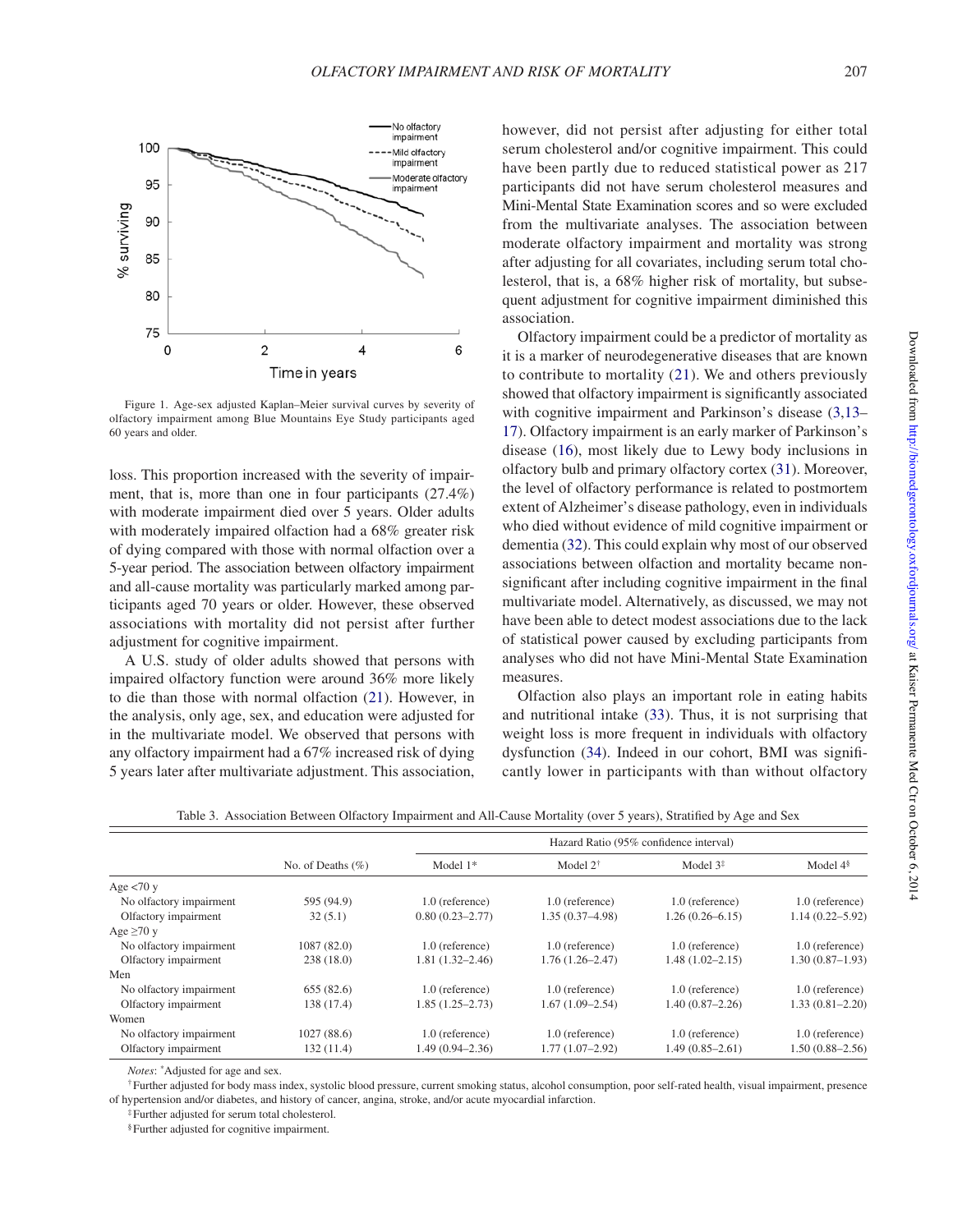

Figure 1. Age-sex adjusted Kaplan–Meier survival curves by severity of olfactory impairment among Blue Mountains Eye Study participants aged 60 years and older.

loss. This proportion increased with the severity of impairment, that is, more than one in four participants (27.4%) with moderate impairment died over 5 years. Older adults with moderately impaired olfaction had a 68% greater risk of dying compared with those with normal olfaction over a 5-year period. The association between olfactory impairment and all-cause mortality was particularly marked among participants aged 70 years or older. However, these observed associations with mortality did not persist after further adjustment for cognitive impairment.

A U.S. study of older adults showed that persons with impaired olfactory function were around 36% more likely to die than those with normal olfaction (21). However, in the analysis, only age, sex, and education were adjusted for in the multivariate model. We observed that persons with any olfactory impairment had a 67% increased risk of dying 5 years later after multivariate adjustment. This a

No. of Deaths (%)

however, did not persist after adjusting for either total serum cholesterol and/or cognitive impairment. This could have been partly due to reduced statistical power as 217 participants did not have serum cholesterol measures and Mini-Mental State Examination scores and so were excluded from the multivariate analyses. The association between moderate olfactory impairment and mortality was strong after adjusting for all covariates, including serum total cholesterol, that is, a 68% higher risk of mortality, but subsequent adjustment for cognitive impairment diminished this association.

Olfactory impairment could be a predictor of mortality as it is a marker of neurodegenerative diseases that are known to contribute to mortality (21). We and others previously showed that olfactory impairment is significantly associated with cognitive impairment and Parkinson's disease  $(3,13-$ 17). Olfactory impairment is an early marker of Parkinson's disease (16), most likely due to Lewy body inclusions in olfactory bulb and primary olfactory cortex (31). Moreover, the level of olfactory performance is related to postmortem extent of Alzheimer's disease pathology, even in individuals who died without evidence of mild cognitive impairment or dementia (32). This could explain why most of our observed associations between olfaction and mortality became nonsignificant after including cognitive impairment in the final multivariate model. Alternatively, as discussed, we may not have been able to detect modest associations due to the lack of statistical power caused by excluding participants from analyses who did not have Mini-Mental State Examination measures.

Olfaction also plays an important role in eating habits and nutritional intake (33). Thus, it is not surprising that weight loss is more frequent in individuals with olfactory dysfunction (34). Indeed in our cohort, BMI was signifi-

| Hazard Ratio (95% confidence interval) |                     |                     |                     |  |  |  |
|----------------------------------------|---------------------|---------------------|---------------------|--|--|--|
| Model $1*$                             | Model $2^{\dagger}$ | Model $3‡$          | Model $4§$          |  |  |  |
| 1.0 (reference)                        | 1.0 (reference)     | 1.0 (reference)     | 1.0 (reference)     |  |  |  |
| $0.80(0.23 - 2.77)$                    | $1.35(0.37-4.98)$   | $1.26(0.26 - 6.15)$ | $1.14(0.22 - 5.92)$ |  |  |  |
| 1.0 (reference)                        | 1.0 (reference)     | 1.0 (reference)     | 1.0 (reference)     |  |  |  |
| $1.81(1.32 - 2.46)$                    | $1.76(1.26 - 2.47)$ | $1.48(1.02 - 2.15)$ | $1.30(0.87 - 1.93)$ |  |  |  |
| 1.0 (reference)                        | 1.0 (reference)     | 1.0 (reference)     | 1.0 (reference)     |  |  |  |
| $1.85(1.25-2.73)$                      | $1.67(1.09 - 2.54)$ | $1.40(0.87-2.26)$   | $1.33(0.81 - 2.20)$ |  |  |  |
| 1.0 (reference)                        | 1.0 (reference)     | 1.0 (reference)     | 1.0 (reference)     |  |  |  |
| $1.49(0.94 - 2.36)$                    | $1.77(1.07-2.92)$   | $1.49(0.85 - 2.61)$ | $1.50(0.88 - 2.56)$ |  |  |  |

Table 3. Association Between Olfactory Im

*Notes*: \*Adjusted for age and sex.

Age <70 y

Age  $\geq 70$  y

Men

Women

†Further adjusted for body mass index, systolic blood pressure, current smoking status, alcohol consumption, poor self-rated health, visual impairment, presence of hypertension and/or diabetes, and history of cancer, angina, stroke, and/or acute myocardial infarction.

‡Further adjusted for serum total cholesterol.

No olfactory impairment 595 (94.9) Olfactory impairment  $32(5.1)$ 

No olfactory impairment 1087 (82.0) Olfactory impairment 238 (18.0)

No olfactory impairment 655 (82.6) Olfactory impairment 138 (17.4)

No olfactory impairment 1027 (88.6) Olfactory impairment 132 (11.4)

§Further adjusted for cognitive impairment.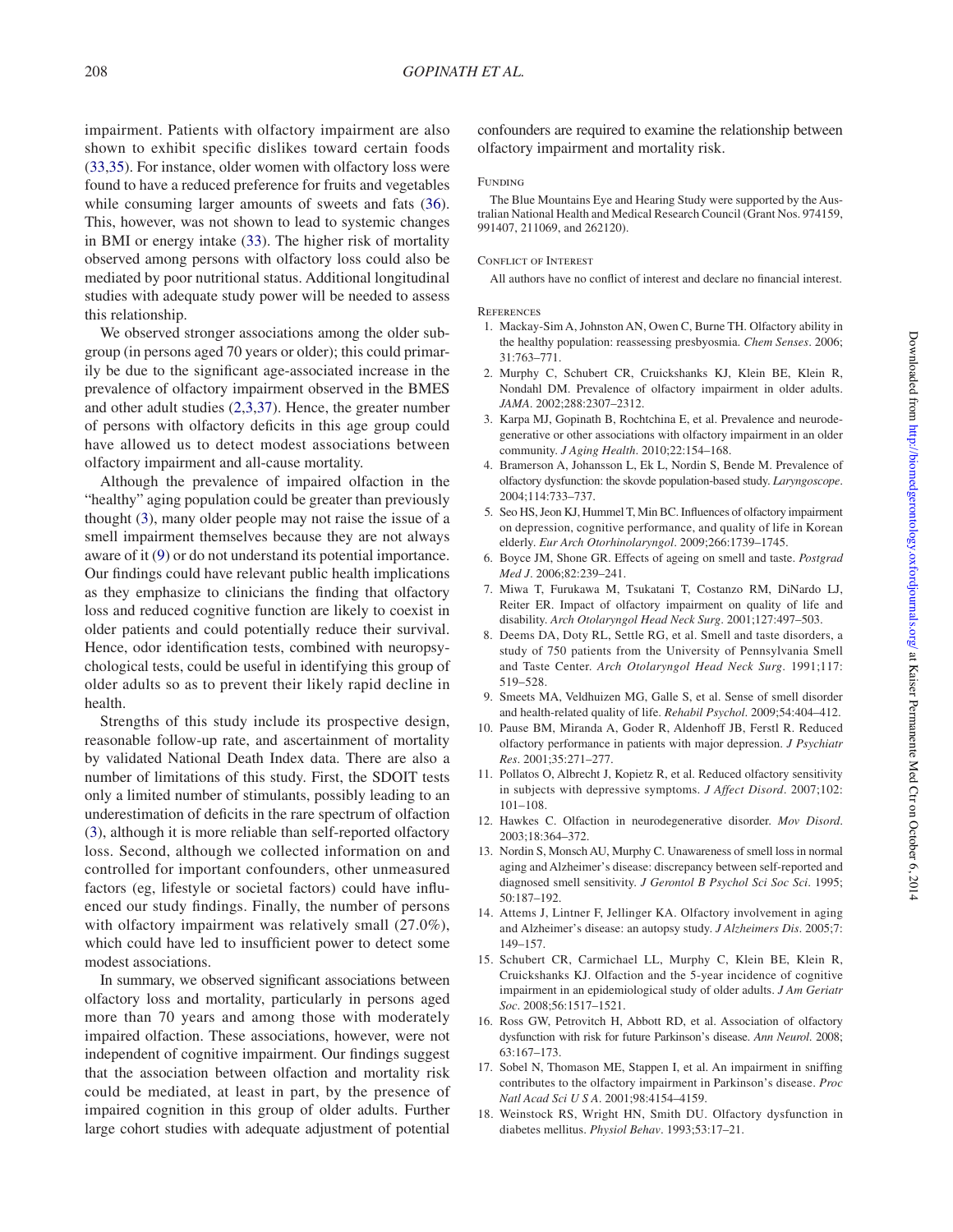impairment. Patients with olfactory impairment are also shown to exhibit specific dislikes toward certain foods (33,35). For instance, older women with olfactory loss were found to have a reduced preference for fruits and vegetables while consuming larger amounts of sweets and fats  $(36)$ . This, however, was not shown to lead to systemic changes in BMI or energy intake (33). The higher risk of mortality observed among persons with olfactory loss could also be mediated by poor nutritional status. Additional longitudinal studies with adequate study power will be needed to assess this relationship.

We observed stronger associations among the older subgroup (in persons aged 70 years or older); this could primarily be due to the significant age-associated increase in the prevalence of olfactory impairment observed in the BMES and other adult studies (2,3,37). Hence, the greater number of persons with olfactory deficits in this age group could have allowed us to detect modest associations between olfactory impairment and all-cause mortality.

Although the prevalence of impaired olfaction in the "healthy" aging population could be greater than previously thought (3), many older people may not raise the issue of a smell impairment themselves because they are not always aware of it (9) or do not understand its potential importance. Our findings could have relevant public health implications as they emphasize to clinicians the finding that olfactory loss and reduced cognitive function are likely to coexist in older patients and could potentially reduce their survival. Hence, odor identification tests, combined with neuropsychological tests, could be useful in identifying this group of older adults so as to prevent their likely rapid decline in health.

Strengths of this study include its prospective design, reasonable follow-up rate, and ascertainment of mortality by validated National Death Index data. There are also a number of limitations of this study. First, the SDOIT tests only a limited number of stimulants, possibly leading to an underestimation of deficits in the rare spectrum of olfaction (3), although it is more reliable than self-reported olfactory loss. Second, although we collected information on and controlled for important confounders, other unmeasured factors (eg, lifestyle or societal factors) could have influenced our study findings. Finally, the number of persons with olfactory impairment was relatively small  $(27.0\%),$ which could have led to insufficient power to detect some modest associations.

In summary, we observed significant associations between olfactory loss and mortality, particularly in persons aged more than 70 years and among those with moderately impaired olfaction. These associations, however, were not independent of cognitive impairment. Our findings suggest that the association between olfaction and mortality risk could be mediated, at least in part, by the presence of impaired cognition in this group of older adults. Further large cohort studies with adequate adjustment of potential

confounders are required to examine the relationship between olfactory impairment and mortality risk.

#### Funding

The Blue Mountains Eye and Hearing Study were supported by the Australian National Health and Medical Research Council (Grant Nos. 974159, 991407, 211069, and 262120).

#### Conflict of Interest

All authors have no conflict of interest and declare no financial interest.

#### **REFERENCES**

- 1. Mackay-Sim A, Johnston AN, Owen C, Burne TH. Olfactory ability in the healthy population: reassessing presbyosmia. *Chem Senses*. 2006; 31:763–771.
- 2. Murphy C, Schubert CR, Cruickshanks KJ, Klein BE, Klein R, Nondahl DM. Prevalence of olfactory impairment in older adults. *JAMA*. 2002;288:2307–2312.
- 3. Karpa MJ, Gopinath B, Rochtchina E, et al. Prevalence and neurodegenerative or other associations with olfactory impairment in an older community. *J Aging Health*. 2010;22:154–168.
- 4. Bramerson A, Johansson L, Ek L, Nordin S, Bende M. Prevalence of olfactory dysfunction: the skovde population-based study. *Laryngoscope*. 2004;114:733–737.
- 5. Seo HS, Jeon KJ, Hummel T, Min BC. Influences of olfactory impairment on depression, cognitive performance, and quality of life in Korean elderly. *Eur Arch Otorhinolaryngol*. 2009;266:1739–1745.
- 6. Boyce JM, Shone GR. Effects of ageing on smell and taste. *Postgrad Med J*. 2006;82:239–241.
- 7. Miwa T, Furukawa M, Tsukatani T, Costanzo RM, DiNardo LJ, Reiter ER. Impact of olfactory impairment on quality of life and disability. *Arch Otolaryngol Head Neck Surg*. 2001;127:497–503.
- 8. Deems DA, Doty RL, Settle RG, et al. Smell and taste disorders, a study of 750 patients from the University of Pennsylvania Smell and Taste Center. *Arch Otolaryngol Head Neck Surg*. 1991;117: 519–528.
- 9. Smeets MA, Veldhuizen MG, Galle S, et al. Sense of smell disorder and health-related quality of life. *Rehabil Psychol*. 2009;54:404–412.
- 10. Pause BM, Miranda A, Goder R, Aldenhoff JB, Ferstl R. Reduced olfactory performance in patients with major depression. *J Psychiatr Res*. 2001;35:271–277.
- 11. Pollatos O, Albrecht J, Kopietz R, et al. Reduced olfactory sensitivity in subjects with depressive symptoms. *J Affect Disord*. 2007;102: 101–108.
- 12. Hawkes C. Olfaction in neurodegenerative disorder. *Mov Disord*. 2003;18:364–372.
- 13. Nordin S, Monsch AU, Murphy C. Unawareness of smell loss in normal aging and Alzheimer's disease: discrepancy between self-reported and diagnosed smell sensitivity. *J Gerontol B Psychol Sci Soc Sci*. 1995; 50:187–192.
- 14. Attems J, Lintner F, Jellinger KA. Olfactory involvement in aging and Alzheimer's disease: an autopsy study. *J Alzheimers Dis*. 2005;7: 149–157.
- 15. Schubert CR, Carmichael LL, Murphy C, Klein BE, Klein R, Cruickshanks KJ. Olfaction and the 5-year incidence of cognitive impairment in an epidemiological study of older adults. *J Am Geriatr Soc*. 2008;56:1517–1521.
- 16. Ross GW, Petrovitch H, Abbott RD, et al. Association of olfactory dysfunction with risk for future Parkinson's disease. *Ann Neurol*. 2008; 63:167–173.
- 17. Sobel N, Thomason ME, Stappen I, et al. An impairment in sniffing contributes to the olfactory impairment in Parkinson's disease. *Proc Natl Acad Sci U S A*. 2001;98:4154–4159.
- 18. Weinstock RS, Wright HN, Smith DU. Olfactory dysfunction in diabetes mellitus. *Physiol Behav*. 1993;53:17–21.